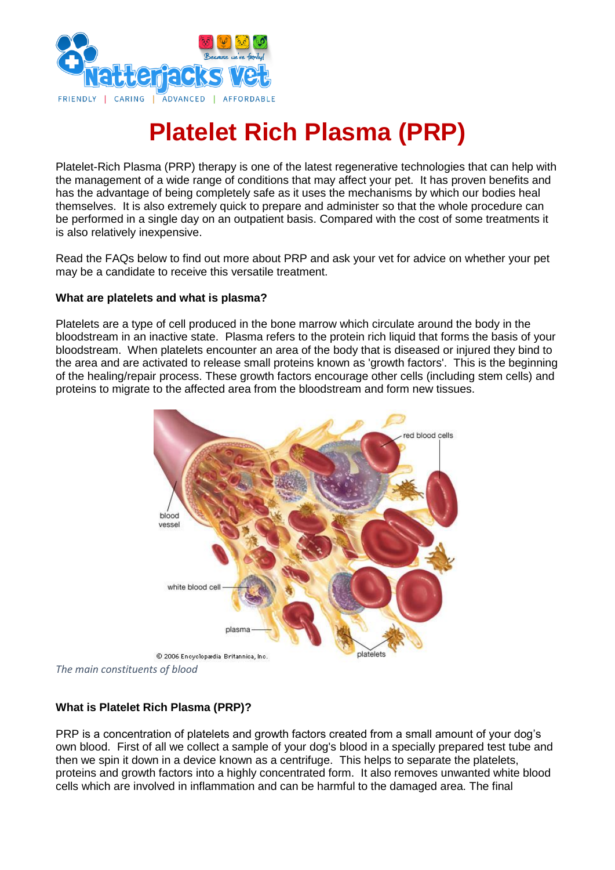

# **Platelet Rich Plasma (PRP)**

Platelet-Rich Plasma (PRP) therapy is one of the latest regenerative technologies that can help with the management of a wide range of conditions that may affect your pet. It has proven benefits and has the advantage of being completely safe as it uses the mechanisms by which our bodies heal themselves. It is also extremely quick to prepare and administer so that the whole procedure can be performed in a single day on an outpatient basis. Compared with the cost of some treatments it is also relatively inexpensive.

Read the FAQs below to find out more about PRP and ask your vet for advice on whether your pet may be a candidate to receive this versatile treatment.

#### **What are platelets and what is plasma?**

Platelets are a type of cell produced in the bone marrow which circulate around the body in the bloodstream in an inactive state. Plasma refers to the protein rich liquid that forms the basis of your bloodstream. When platelets encounter an area of the body that is diseased or injured they bind to the area and are activated to release small proteins known as 'growth factors'. This is the beginning of the healing/repair process. These growth factors encourage other cells (including stem cells) and proteins to migrate to the affected area from the bloodstream and form new tissues.



*The main constituents of blood*

## **What is Platelet Rich Plasma (PRP)?**

PRP is a concentration of platelets and growth factors created from a small amount of your dog's own blood. First of all we collect a sample of your dog's blood in a specially prepared test tube and then we spin it down in a device known as a centrifuge. This helps to separate the platelets, proteins and growth factors into a highly concentrated form. It also removes unwanted white blood cells which are involved in inflammation and can be harmful to the damaged area. The final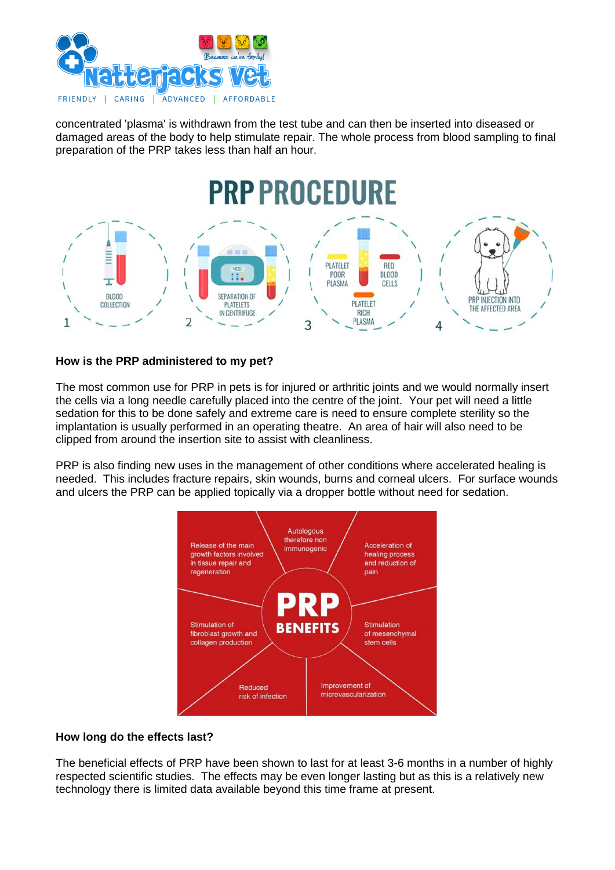

concentrated 'plasma' is withdrawn from the test tube and can then be inserted into diseased or damaged areas of the body to help stimulate repair. The whole process from blood sampling to final preparation of the PRP takes less than half an hour.



#### **How is the PRP administered to my pet?**

The most common use for PRP in pets is for injured or arthritic joints and we would normally insert the cells via a long needle carefully placed into the centre of the joint. Your pet will need a little sedation for this to be done safely and extreme care is need to ensure complete sterility so the implantation is usually performed in an operating theatre. An area of hair will also need to be clipped from around the insertion site to assist with cleanliness.

PRP is also finding new uses in the management of other conditions where accelerated healing is needed. This includes fracture repairs, skin wounds, burns and corneal ulcers. For surface wounds and ulcers the PRP can be applied topically via a dropper bottle without need for sedation.



#### **How long do the effects last?**

The beneficial effects of PRP have been shown to last for at least 3-6 months in a number of highly respected scientific studies. The effects may be even longer lasting but as this is a relatively new technology there is limited data available beyond this time frame at present.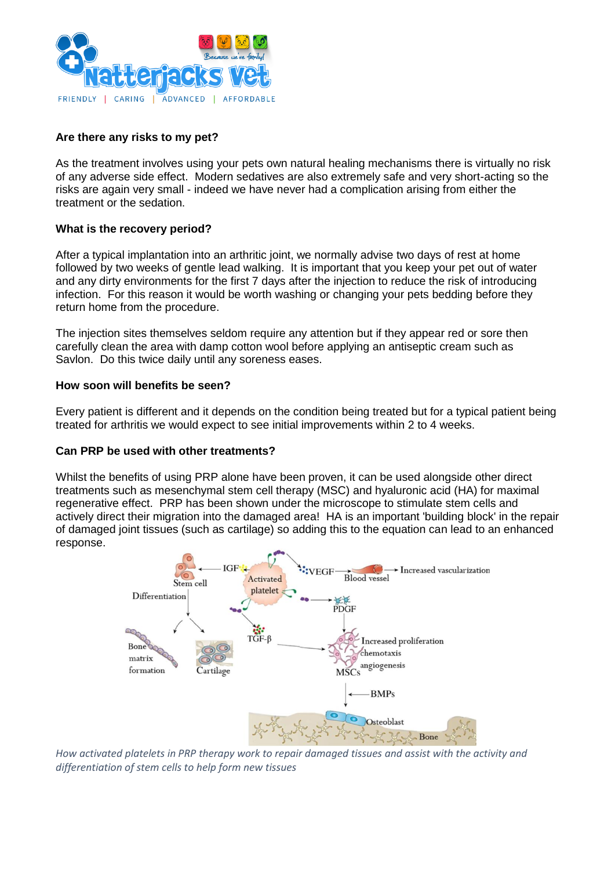

### **Are there any risks to my pet?**

As the treatment involves using your pets own natural healing mechanisms there is virtually no risk of any adverse side effect. Modern sedatives are also extremely safe and very short-acting so the risks are again very small - indeed we have never had a complication arising from either the treatment or the sedation.

#### **What is the recovery period?**

After a typical implantation into an arthritic joint, we normally advise two days of rest at home followed by two weeks of gentle lead walking. It is important that you keep your pet out of water and any dirty environments for the first 7 days after the injection to reduce the risk of introducing infection. For this reason it would be worth washing or changing your pets bedding before they return home from the procedure.

The injection sites themselves seldom require any attention but if they appear red or sore then carefully clean the area with damp cotton wool before applying an antiseptic cream such as Savlon. Do this twice daily until any soreness eases.

#### **How soon will benefits be seen?**

Every patient is different and it depends on the condition being treated but for a typical patient being treated for arthritis we would expect to see initial improvements within 2 to 4 weeks.

#### **Can PRP be used with other treatments?**

Whilst the benefits of using PRP alone have been proven, it can be used alongside other direct treatments such as mesenchymal stem cell therapy (MSC) and hyaluronic acid (HA) for maximal regenerative effect. PRP has been shown under the microscope to stimulate stem cells and actively direct their migration into the damaged area! HA is an important 'building block' in the repair of damaged joint tissues (such as cartilage) so adding this to the equation can lead to an enhanced response.



*How activated platelets in PRP therapy work to repair damaged tissues and assist with the activity and differentiation of stem cells to help form new tissues*